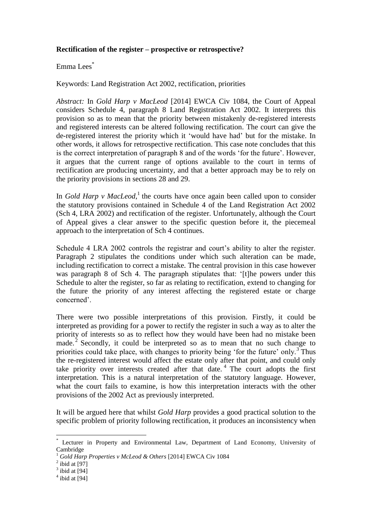## **Rectification of the register – prospective or retrospective?**

## Emma Lees\*

Keywords: Land Registration Act 2002, rectification, priorities

*Abstract:* In *Gold Harp v MacLeod* [2014] EWCA Civ 1084, the Court of Appeal considers Schedule 4, paragraph 8 Land Registration Act 2002. It interprets this provision so as to mean that the priority between mistakenly de-registered interests and registered interests can be altered following rectification. The court can give the de-registered interest the priority which it 'would have had' but for the mistake. In other words, it allows for retrospective rectification. This case note concludes that this is the correct interpretation of paragraph 8 and of the words 'for the future'. However, it argues that the current range of options available to the court in terms of rectification are producing uncertainty, and that a better approach may be to rely on the priority provisions in sections 28 and 29.

In *Gold Harp v MacLeod*,<sup>1</sup> the courts have once again been called upon to consider the statutory provisions contained in Schedule 4 of the Land Registration Act 2002 (Sch 4, LRA 2002) and rectification of the register. Unfortunately, although the Court of Appeal gives a clear answer to the specific question before it, the piecemeal approach to the interpretation of Sch 4 continues.

Schedule 4 LRA 2002 controls the registrar and court's ability to alter the register. Paragraph 2 stipulates the conditions under which such alteration can be made, including rectification to correct a mistake. The central provision in this case however was paragraph 8 of Sch 4. The paragraph stipulates that: '[t]he powers under this Schedule to alter the register, so far as relating to rectification, extend to changing for the future the priority of any interest affecting the registered estate or charge concerned'.

There were two possible interpretations of this provision. Firstly, it could be interpreted as providing for a power to rectify the register in such a way as to alter the priority of interests so as to reflect how they would have been had no mistake been made.<sup>2</sup> Secondly, it could be interpreted so as to mean that no such change to priorities could take place, with changes to priority being 'for the future' only.<sup>3</sup> Thus the re-registered interest would affect the estate only after that point, and could only take priority over interests created after that date.<sup>4</sup> The court adopts the first interpretation. This is a natural interpretation of the statutory language. However, what the court fails to examine, is how this interpretation interacts with the other provisions of the 2002 Act as previously interpreted.

It will be argued here that whilst *Gold Harp* provides a good practical solution to the specific problem of priority following rectification, it produces an inconsistency when

Lecturer in Property and Environmental Law, Department of Land Economy, University of Cambridge

<sup>1</sup> *Gold Harp Properties v McLeod & Others* [2014] EWCA Civ 1084

 $2$  ibid at [97]

 $3$  ibid at [94]

 $4$  ibid at [94]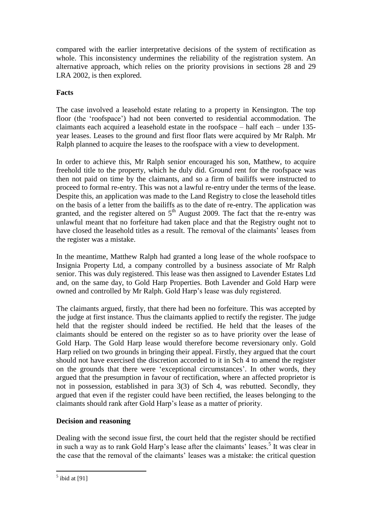compared with the earlier interpretative decisions of the system of rectification as whole. This inconsistency undermines the reliability of the registration system. An alternative approach, which relies on the priority provisions in sections 28 and 29 LRA 2002, is then explored.

# **Facts**

The case involved a leasehold estate relating to a property in Kensington. The top floor (the 'roofspace') had not been converted to residential accommodation. The claimants each acquired a leasehold estate in the roofspace – half each – under 135 year leases. Leases to the ground and first floor flats were acquired by Mr Ralph. Mr Ralph planned to acquire the leases to the roofspace with a view to development.

In order to achieve this, Mr Ralph senior encouraged his son, Matthew, to acquire freehold title to the property, which he duly did. Ground rent for the roofspace was then not paid on time by the claimants, and so a firm of bailiffs were instructed to proceed to formal re-entry. This was not a lawful re-entry under the terms of the lease. Despite this, an application was made to the Land Registry to close the leasehold titles on the basis of a letter from the bailiffs as to the date of re-entry. The application was granted, and the register altered on  $5<sup>th</sup>$  August 2009. The fact that the re-entry was unlawful meant that no forfeiture had taken place and that the Registry ought not to have closed the leasehold titles as a result. The removal of the claimants' leases from the register was a mistake.

In the meantime, Matthew Ralph had granted a long lease of the whole roofspace to Insignia Property Ltd, a company controlled by a business associate of Mr Ralph senior. This was duly registered. This lease was then assigned to Lavender Estates Ltd and, on the same day, to Gold Harp Properties. Both Lavender and Gold Harp were owned and controlled by Mr Ralph. Gold Harp's lease was duly registered.

The claimants argued, firstly, that there had been no forfeiture. This was accepted by the judge at first instance. Thus the claimants applied to rectify the register. The judge held that the register should indeed be rectified. He held that the leases of the claimants should be entered on the register so as to have priority over the lease of Gold Harp. The Gold Harp lease would therefore become reversionary only. Gold Harp relied on two grounds in bringing their appeal. Firstly, they argued that the court should not have exercised the discretion accorded to it in Sch 4 to amend the register on the grounds that there were 'exceptional circumstances'. In other words, they argued that the presumption in favour of rectification, where an affected proprietor is not in possession, established in para 3(3) of Sch 4, was rebutted. Secondly, they argued that even if the register could have been rectified, the leases belonging to the claimants should rank after Gold Harp's lease as a matter of priority.

# **Decision and reasoning**

Dealing with the second issue first, the court held that the register should be rectified in such a way as to rank Gold Harp's lease after the claimants' leases. 5 It was clear in the case that the removal of the claimants' leases was a mistake: the critical question

 $<sup>5</sup>$  ibid at [91]</sup>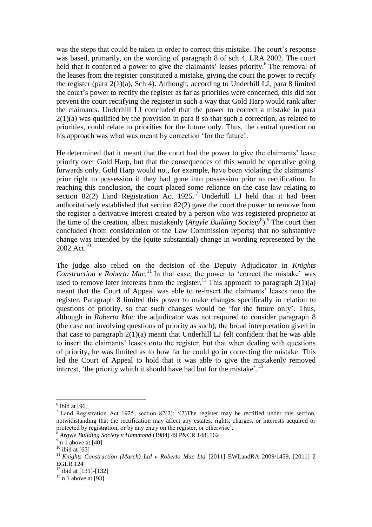was the steps that could be taken in order to correct this mistake. The court's response was based, primarily, on the wording of paragraph 8 of sch 4, LRA 2002. The court held that it conferred a power to give the claimants' leases priority.<sup>6</sup> The removal of the leases from the register constituted a mistake, giving the court the power to rectify the register (para  $2(1)(a)$ , Sch 4). Although, according to Underhill LJ, para 8 limited the court's power to rectify the register as far as priorities were concerned, this did not prevent the court rectifying the register in such a way that Gold Harp would rank after the claimants. Underhill LJ concluded that the power to correct a mistake in para  $2(1)(a)$  was qualified by the provision in para 8 so that such a correction, as related to priorities, could relate to priorities for the future only. Thus, the central question on his approach was what was meant by correction 'for the future'.

He determined that it meant that the court had the power to give the claimants' lease priority over Gold Harp, but that the consequences of this would be operative going forwards only. Gold Harp would not, for example, have been violating the claimants' prior right to possession if they had gone into possession prior to rectification. In reaching this conclusion, the court placed some reliance on the case law relating to section 82(2) Land Registration Act  $1925$ .<sup>7</sup> Underhill LJ held that it had been authoritatively established that section 82(2) gave the court the power to remove from the register a derivative interest created by a person who was registered proprietor at the time of the creation, albeit mistakenly (*Argyle Building Society*<sup>8</sup>).<sup>9</sup> The court then concluded (from consideration of the Law Commission reports) that no substantive change was intended by the (quite substantial) change in wording represented by the  $2002$  Act.<sup>10</sup>

The judge also relied on the decision of the Deputy Adjudicator in *Knights Construction v Roberto Mac.*<sup>11</sup> In that case, the power to 'correct the mistake' was used to remove later interests from the register.<sup>12</sup> This approach to paragraph 2(1)(a) meant that the Court of Appeal was able to re-insert the claimants' leases onto the register. Paragraph 8 limited this power to make changes specifically in relation to questions of priority, so that such changes would be 'for the future only'. Thus, although in *Roberto Mac* the adjudicator was not required to consider paragraph 8 (the case not involving questions of priority as such), the broad interpretation given in that case to paragraph  $2(1)(a)$  meant that Underhill LJ felt confident that he was able to insert the claimants' leases onto the register, but that when dealing with questions of priority, he was limited as to how far he could go in correcting the mistake. This led the Court of Appeal to hold that it was able to give the mistakenly removed interest, 'the priority which it should have had but for the mistake'.<sup>13</sup>

 $<sup>6</sup>$  ibid at [96]</sup>

<sup>&</sup>lt;sup>7</sup> Land Registration Act 1925, section 82(2): '(2) The register may be rectified under this section, notwithstanding that the rectification may affect any estates, rights, charges, or interests acquired or protected by registration, or by any entry on the register, or otherwise'.

<sup>8</sup> *Argyle Building Society v Hammond* (1984) 49 P&CR 148, 162

 $9$  n 1 above at [40]

 $^{10}$  ibid at [65]

<sup>&</sup>lt;sup>11</sup> Knights Construction (March) Ltd v Roberto Mac Ltd [2011] EWLandRA 2009/1459, [2011] 2 EGLR 124

<sup>&</sup>lt;sup>12</sup> ibid at [131]-[132]

 $13$  n 1 above at [93]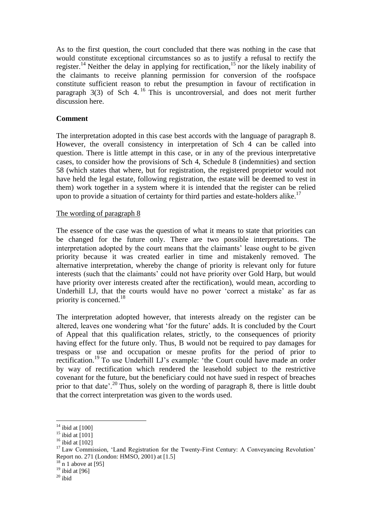As to the first question, the court concluded that there was nothing in the case that would constitute exceptional circumstances so as to justify a refusal to rectify the register.<sup>14</sup> Neither the delay in applying for rectification,<sup>15</sup> nor the likely inability of the claimants to receive planning permission for conversion of the roofspace constitute sufficient reason to rebut the presumption in favour of rectification in paragraph  $3(3)$  of Sch 4.<sup>16</sup> This is uncontroversial, and does not merit further discussion here.

### **Comment**

The interpretation adopted in this case best accords with the language of paragraph 8. However, the overall consistency in interpretation of Sch 4 can be called into question. There is little attempt in this case, or in any of the previous interpretative cases, to consider how the provisions of Sch 4, Schedule 8 (indemnities) and section 58 (which states that where, but for registration, the registered proprietor would not have held the legal estate, following registration, the estate will be deemed to vest in them) work together in a system where it is intended that the register can be relied upon to provide a situation of certainty for third parties and estate-holders alike.<sup>17</sup>

### The wording of paragraph 8

The essence of the case was the question of what it means to state that priorities can be changed for the future only. There are two possible interpretations. The interpretation adopted by the court means that the claimants' lease ought to be given priority because it was created earlier in time and mistakenly removed. The alternative interpretation, whereby the change of priority is relevant only for future interests (such that the claimants' could not have priority over Gold Harp, but would have priority over interests created after the rectification), would mean, according to Underhill LJ, that the courts would have no power 'correct a mistake' as far as priority is concerned.<sup>18</sup>

The interpretation adopted however, that interests already on the register can be altered, leaves one wondering what 'for the future' adds. It is concluded by the Court of Appeal that this qualification relates, strictly, to the consequences of priority having effect for the future only. Thus, B would not be required to pay damages for trespass or use and occupation or mesne profits for the period of prior to rectification.<sup>19</sup> To use Underhill LJ's example: 'the Court could have made an order by way of rectification which rendered the leasehold subject to the restrictive covenant for the future, but the beneficiary could not have sued in respect of breaches prior to that date'.<sup>20</sup> Thus, solely on the wording of paragraph 8, there is little doubt that the correct interpretation was given to the words used.

 $\overline{a}$  $14$  ibid at [100]

 $15$  ibid at [101]

 $16$  ibid at [102]

<sup>&</sup>lt;sup>17</sup> Law Commission, 'Land Registration for the Twenty-First Century: A Conveyancing Revolution' Report no. 271 (London: HMSO, 2001) at [1.5]

 $18 \text{ n}$  1 above at [95]

 $19$  ibid at [96]

 $^{20}$  ibid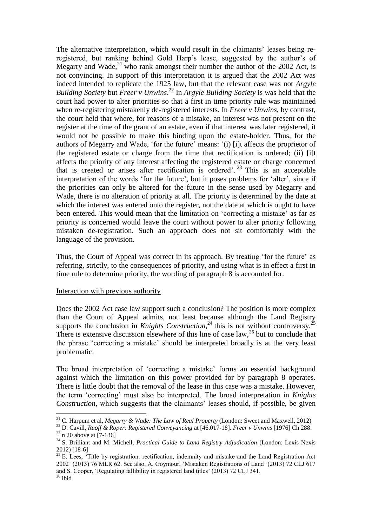The alternative interpretation, which would result in the claimants' leases being reregistered, but ranking behind Gold Harp's lease, suggested by the author's of Megarry and Wade, $^{21}$  who rank amongst their number the author of the 2002 Act, is not convincing. In support of this interpretation it is argued that the 2002 Act was indeed intended to replicate the 1925 law, but that the relevant case was not *Argyle Building Society* but *Freer v Unwins*. <sup>22</sup> In *Argyle Building Society* is was held that the court had power to alter priorities so that a first in time priority rule was maintained when re-registering mistakenly de-registered interests. In *Freer v Unwins*, by contrast, the court held that where, for reasons of a mistake, an interest was not present on the register at the time of the grant of an estate, even if that interest was later registered, it would not be possible to make this binding upon the estate-holder. Thus, for the authors of Megarry and Wade, 'for the future' means: '(i) [i]t affects the proprietor of the registered estate or charge from the time that rectification is ordered; (ii) [i]t affects the priority of any interest affecting the registered estate or charge concerned that is created or arises after rectification is ordered'.<sup>23</sup> This is an acceptable interpretation of the words 'for the future', but it poses problems for 'alter', since if the priorities can only be altered for the future in the sense used by Megarry and Wade, there is no alteration of priority at all. The priority is determined by the date at which the interest was entered onto the register, not the date at which is ought to have been entered. This would mean that the limitation on 'correcting a mistake' as far as priority is concerned would leave the court without power to alter priority following mistaken de-registration. Such an approach does not sit comfortably with the language of the provision.

Thus, the Court of Appeal was correct in its approach. By treating 'for the future' as referring, strictly, to the consequences of priority, and using what is in effect a first in time rule to determine priority, the wording of paragraph 8 is accounted for.

#### Interaction with previous authority

Does the 2002 Act case law support such a conclusion? The position is more complex than the Court of Appeal admits, not least because although the Land Registry supports the conclusion in *Knights Construction*,<sup>24</sup> this is not without controversy.<sup>25</sup> There is extensive discussion elsewhere of this line of case  $law<sub>1</sub><sup>26</sup>$  but to conclude that the phrase 'correcting a mistake' should be interpreted broadly is at the very least problematic.

The broad interpretation of 'correcting a mistake' forms an essential background against which the limitation on this power provided for by paragraph 8 operates. There is little doubt that the removal of the lease in this case was a mistake. However, the term 'correcting' must also be interpreted. The broad interpretation in *Knights Construction,* which suggests that the claimants' leases should, if possible, be given

<sup>21</sup> C. Harpum et al, *Megarry & Wade: The Law of Real Property* (London: Sweet and Maxwell, 2012)

<sup>22</sup> D. Cavill, *Ruoff & Roper: Registered Conveyancing* at [46.017-18]. *Freer v Unwins* [1976] Ch 288.  $23$  n 20 above at [7-136]

<sup>24</sup> S. Brilliant and M. Michell, *Practical Guide to Land Registry Adjudication* (London: Lexis Nexis 2012) [18-6]

<sup>&</sup>lt;sup>25</sup> E. Lees, 'Title by registration: rectification, indemnity and mistake and the Land Registration Act 2002' (2013) 76 MLR 62. See also, A. Goymour, 'Mistaken Registrations of Land' (2013) 72 CLJ 617 and S. Cooper, 'Regulating fallibility in registered land titles' (2013) 72 CLJ 341.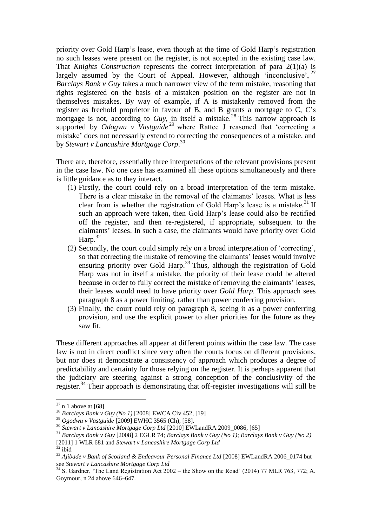priority over Gold Harp's lease, even though at the time of Gold Harp's registration no such leases were present on the register, is not accepted in the existing case law. That *Knights Construction* represents the correct interpretation of para 2(1)(a) is largely assumed by the Court of Appeal. However, although 'inconclusive',  $27$ *Barclays Bank v Guy* takes a much narrower view of the term mistake, reasoning that rights registered on the basis of a mistaken position on the register are not in themselves mistakes. By way of example, if A is mistakenly removed from the register as freehold proprietor in favour of B, and B grants a mortgage to C, C's mortgage is not, according to *Guy*, in itself a mistake. <sup>28</sup> This narrow approach is supported by *Odogwu v Vastguide*<sup>29</sup> where Rattee J reasoned that 'correcting a mistake' does not necessarily extend to correcting the consequences of a mistake, and by *Stewart v Lancashire Mortgage Corp*. 30

There are, therefore, essentially three interpretations of the relevant provisions present in the case law. No one case has examined all these options simultaneously and there is little guidance as to they interact.

- (1) Firstly, the court could rely on a broad interpretation of the term mistake. There is a clear mistake in the removal of the claimants' leases. What is less clear from is whether the registration of Gold Harp's lease is a mistake.<sup>31</sup> If such an approach were taken, then Gold Harp's lease could also be rectified off the register, and then re-registered, if appropriate, subsequent to the claimants' leases. In such a case, the claimants would have priority over Gold Harp.<sup>32</sup>
- (2) Secondly, the court could simply rely on a broad interpretation of 'correcting', so that correcting the mistake of removing the claimants' leases would involve ensuring priority over Gold Harp.<sup>33</sup> Thus, although the registration of Gold Harp was not in itself a mistake, the priority of their lease could be altered because in order to fully correct the mistake of removing the claimants' leases, their leases would need to have priority over *Gold Harp*. This approach sees paragraph 8 as a power limiting, rather than power conferring provision.
- (3) Finally, the court could rely on paragraph 8, seeing it as a power conferring provision, and use the explicit power to alter priorities for the future as they saw fit.

These different approaches all appear at different points within the case law. The case law is not in direct conflict since very often the courts focus on different provisions, but nor does it demonstrate a consistency of approach which produces a degree of predictability and certainty for those relying on the register. It is perhaps apparent that the judiciary are steering against a strong conception of the conclusivity of the register.<sup>34</sup> Their approach is demonstrating that off-register investigations will still be

 $27$  n 1 above at [68]

<sup>28</sup> *Barclays Bank v Guy (No 1)* [2008] EWCA Civ 452, [19]

<sup>29</sup> *Ogodwu v Vastguide* [2009] EWHC 3565 (Ch), [58].

<sup>30</sup> *Stewart v Lancashire Mortgage Corp Ltd* [2010] EWLandRA 2009\_0086, [65]

<sup>31</sup> *Barclays Bank v Guy* [2008] 2 EGLR 74; *Barclays Bank v Guy (No 1)*; *Barclays Bank v Guy (No 2)*  [2011] 1 WLR 681 and *Stewart v Lancashire Mortgage Corp Ltd*

 $32$  ibid

<sup>33</sup> *Ajibade v Bank of Scotland & Endeavour Personal Finance Ltd* [2008] EWLandRA 2006\_0174 but see *Stewart v Lancashire Mortgage Corp Ltd* 

 $34$  S. Gardner, 'The Land Registration Act 2002 – the Show on the Road' (2014) 77 MLR 763, 772; A. Goymour, n 24 above 646–647.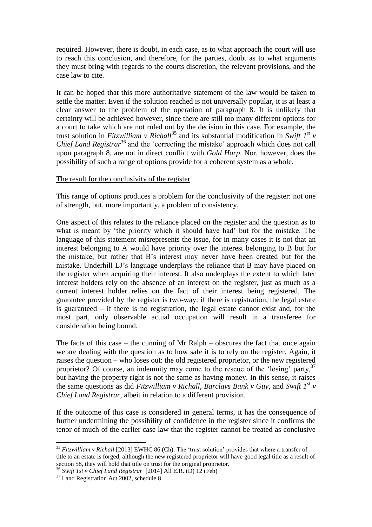required. However, there is doubt, in each case, as to what approach the court will use to reach this conclusion, and therefore, for the parties, doubt as to what arguments they must bring with regards to the courts discretion, the relevant provisions, and the case law to cite.

It can be hoped that this more authoritative statement of the law would be taken to settle the matter. Even if the solution reached is not universally popular, it is at least a clear answer to the problem of the operation of paragraph 8. It is unlikely that certainty will be achieved however, since there are still too many different options for a court to take which are not ruled out by the decision in this case. For example, the trust solution in *Fitzwilliam v Richall*<sup>35</sup> and its substantial modification in *Swift 1<sup>st</sup> v Chief Land Registrar*<sup>36</sup> and the 'correcting the mistake' approach which does not call upon paragraph 8, are not in direct conflict with *Gold Harp*. Nor, however, does the possibility of such a range of options provide for a coherent system as a whole.

### The result for the conclusivity of the register

This range of options produces a problem for the conclusivity of the register: not one of strength, but, more importantly, a problem of consistency.

One aspect of this relates to the reliance placed on the register and the question as to what is meant by 'the priority which it should have had' but for the mistake. The language of this statement misrepresents the issue, for in many cases it is not that an interest belonging to A would have priority over the interest belonging to B but for the mistake, but rather that B's interest may never have been created but for the mistake. Underhill LJ's language underplays the reliance that B may have placed on the register when acquiring their interest. It also underplays the extent to which later interest holders rely on the absence of an interest on the register, just as much as a current interest holder relies on the fact of their interest being registered. The guarantee provided by the register is two-way: if there is registration, the legal estate is guaranteed – if there is no registration, the legal estate cannot exist and, for the most part, only observable actual occupation will result in a transferee for consideration being bound.

The facts of this case – the cunning of Mr Ralph – obscures the fact that once again we are dealing with the question as to how safe it is to rely on the register. Again, it raises the question – who loses out: the old registered proprietor, or the new registered proprietor? Of course, an indemnity may come to the rescue of the 'losing' party,  $37$ but having the property right is not the same as having money. In this sense, it raises the same questions as did *Fitzwilliam v Richall*, *Barclays Bank v Guy*, and *Swift 1st v Chief Land Registrar*, albeit in relation to a different provision.

If the outcome of this case is considered in general terms, it has the consequence of further undermining the possibility of confidence in the register since it confirms the tenor of much of the earlier case law that the register cannot be treated as conclusive

<sup>35</sup> *Fitzwilliam v Richall* [2013] EWHC 86 (Ch). The 'trust solution' provides that where a transfer of title to an estate is forged, although the new registered proprietor will have good legal title as a result of section 58, they will hold that title on trust for the original proprietor.

<sup>36</sup> *Swift 1st v Chief Land Registrar* [2014] All E.R. (D) 12 (Feb)

<sup>&</sup>lt;sup>37</sup> Land Registration Act 2002, schedule 8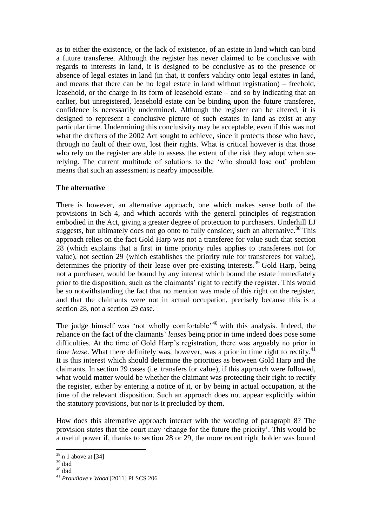as to either the existence, or the lack of existence, of an estate in land which can bind a future transferee. Although the register has never claimed to be conclusive with regards to interests in land, it is designed to be conclusive as to the presence or absence of legal estates in land (in that, it confers validity onto legal estates in land, and means that there can be no legal estate in land without registration) – freehold, leasehold, or the charge in its form of leasehold estate – and so by indicating that an earlier, but unregistered, leasehold estate can be binding upon the future transferee, confidence is necessarily undermined. Although the register can be altered, it is designed to represent a conclusive picture of such estates in land as exist at any particular time. Undermining this conclusivity may be acceptable, even if this was not what the drafters of the 2002 Act sought to achieve, since it protects those who have, through no fault of their own, lost their rights. What is critical however is that those who rely on the register are able to assess the extent of the risk they adopt when sorelying. The current multitude of solutions to the 'who should lose out' problem means that such an assessment is nearby impossible.

## **The alternative**

There is however, an alternative approach, one which makes sense both of the provisions in Sch 4, and which accords with the general principles of registration embodied in the Act, giving a greater degree of protection to purchasers. Underhill LJ suggests, but ultimately does not go onto to fully consider, such an alternative.<sup>38</sup> This approach relies on the fact Gold Harp was not a transferee for value such that section 28 (which explains that a first in time priority rules applies to transferees not for value), not section 29 (which establishes the priority rule for transferees for value), determines the priority of their lease over pre-existing interests.<sup>39</sup> Gold Harp, being not a purchaser, would be bound by any interest which bound the estate immediately prior to the disposition, such as the claimants' right to rectify the register. This would be so notwithstanding the fact that no mention was made of this right on the register, and that the claimants were not in actual occupation, precisely because this is a section 28, not a section 29 case.

The judge himself was 'not wholly comfortable'<sup>40</sup> with this analysis. Indeed, the reliance on the fact of the claimants' *leases* being prior in time indeed does pose some difficulties. At the time of Gold Harp's registration, there was arguably no prior in time *lease*. What there definitely was, however, was a prior in time right to rectify.<sup>41</sup> It is this interest which should determine the priorities as between Gold Harp and the claimants. In section 29 cases (i.e. transfers for value), if this approach were followed, what would matter would be whether the claimant was protecting their right to rectify the register, either by entering a notice of it, or by being in actual occupation, at the time of the relevant disposition. Such an approach does not appear explicitly within the statutory provisions, but nor is it precluded by them.

How does this alternative approach interact with the wording of paragraph 8? The provision states that the court may 'change for the future the priority'. This would be a useful power if, thanks to section 28 or 29, the more recent right holder was bound

 $38$  n 1 above at [34]

 $^{39}$ ibid

<sup>40</sup> ibid

<sup>41</sup> *Proudlove v Wood* [2011] PLSCS 206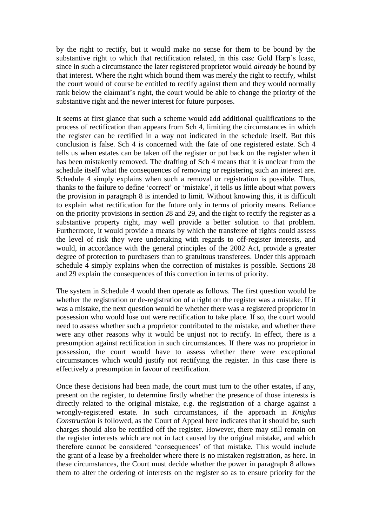by the right to rectify, but it would make no sense for them to be bound by the substantive right to which that rectification related, in this case Gold Harp's lease, since in such a circumstance the later registered proprietor would *already* be bound by that interest. Where the right which bound them was merely the right to rectify, whilst the court would of course be entitled to rectify against them and they would normally rank below the claimant's right, the court would be able to change the priority of the substantive right and the newer interest for future purposes.

It seems at first glance that such a scheme would add additional qualifications to the process of rectification than appears from Sch 4, limiting the circumstances in which the register can be rectified in a way not indicated in the schedule itself. But this conclusion is false. Sch 4 is concerned with the fate of one registered estate. Sch 4 tells us when estates can be taken off the register or put back on the register when it has been mistakenly removed. The drafting of Sch 4 means that it is unclear from the schedule itself what the consequences of removing or registering such an interest are. Schedule 4 simply explains when such a removal or registration is possible. Thus, thanks to the failure to define 'correct' or 'mistake', it tells us little about what powers the provision in paragraph 8 is intended to limit. Without knowing this, it is difficult to explain what rectification for the future only in terms of priority means. Reliance on the priority provisions in section 28 and 29, and the right to rectify the register as a substantive property right, may well provide a better solution to that problem. Furthermore, it would provide a means by which the transferee of rights could assess the level of risk they were undertaking with regards to off-register interests, and would, in accordance with the general principles of the 2002 Act, provide a greater degree of protection to purchasers than to gratuitous transferees. Under this approach schedule 4 simply explains when the correction of mistakes is possible. Sections 28 and 29 explain the consequences of this correction in terms of priority.

The system in Schedule 4 would then operate as follows. The first question would be whether the registration or de-registration of a right on the register was a mistake. If it was a mistake, the next question would be whether there was a registered proprietor in possession who would lose out were rectification to take place. If so, the court would need to assess whether such a proprietor contributed to the mistake, and whether there were any other reasons why it would be unjust not to rectify. In effect, there is a presumption against rectification in such circumstances. If there was no proprietor in possession, the court would have to assess whether there were exceptional circumstances which would justify not rectifying the register. In this case there is effectively a presumption in favour of rectification.

Once these decisions had been made, the court must turn to the other estates, if any, present on the register, to determine firstly whether the presence of those interests is directly related to the original mistake, e.g. the registration of a charge against a wrongly-registered estate. In such circumstances, if the approach in *Knights Construction* is followed, as the Court of Appeal here indicates that it should be, such charges should also be rectified off the register. However, there may still remain on the register interests which are not in fact caused by the original mistake, and which therefore cannot be considered 'consequences' of that mistake. This would include the grant of a lease by a freeholder where there is no mistaken registration, as here. In these circumstances, the Court must decide whether the power in paragraph 8 allows them to alter the ordering of interests on the register so as to ensure priority for the